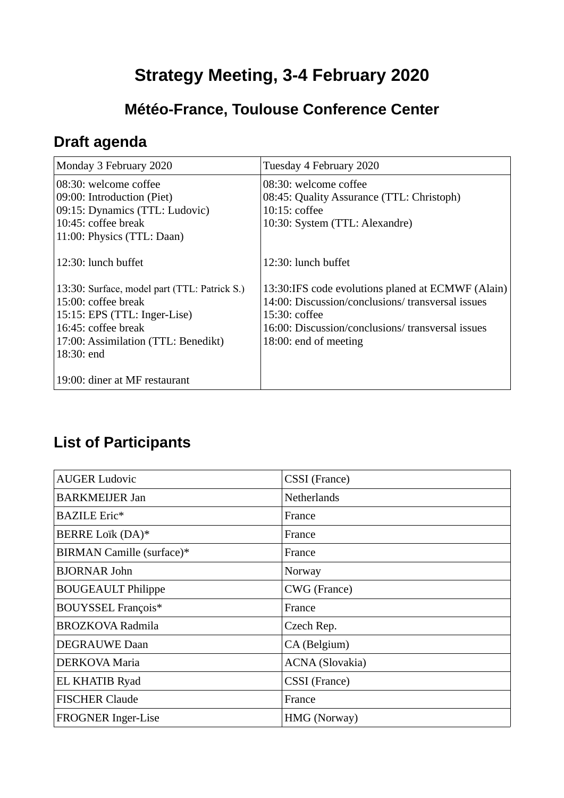## **Strategy Meeting, 3-4 February 2020**

## **Météo-France, Toulouse Conference Center**

## **Draft agenda**

| Monday 3 February 2020                       | Tuesday 4 February 2020                           |
|----------------------------------------------|---------------------------------------------------|
| 08:30: welcome coffee                        | 08:30: welcome coffee                             |
| 09:00: Introduction (Piet)                   | 08:45: Quality Assurance (TTL: Christoph)         |
| 09:15: Dynamics (TTL: Ludovic)               | $10:15:$ coffee                                   |
| 10:45: coffee break                          | 10:30: System (TTL: Alexandre)                    |
| 11:00: Physics (TTL: Daan)                   |                                                   |
| 12:30: lunch buffet                          | 12:30: lunch buffet                               |
| 13:30: Surface, model part (TTL: Patrick S.) | 13:30:IFS code evolutions planed at ECMWF (Alain) |
| $15:00$ : coffee break                       | 14:00: Discussion/conclusions/ transversal issues |
| 15:15: EPS (TTL: Inger-Lise)                 | 15:30: coffee                                     |
| 16:45: coffee break                          | 16:00: Discussion/conclusions/ transversal issues |
| 17:00: Assimilation (TTL: Benedikt)          | 18:00: end of meeting                             |
| 18:30: end                                   |                                                   |
|                                              |                                                   |
| 19:00: diner at MF restaurant                |                                                   |

## **List of Participants**

| <b>AUGER Ludovic</b>      | CSSI (France)          |
|---------------------------|------------------------|
| <b>BARKMEIJER Jan</b>     | <b>Netherlands</b>     |
| <b>BAZILE Eric*</b>       | France                 |
| BERRE Loïk (DA)*          | France                 |
| BIRMAN Camille (surface)* | France                 |
| <b>BJORNAR John</b>       | Norway                 |
| <b>BOUGEAULT Philippe</b> | CWG (France)           |
| <b>BOUYSSEL François*</b> | France                 |
| <b>BROZKOVA Radmila</b>   | Czech Rep.             |
| <b>DEGRAUWE Daan</b>      | CA (Belgium)           |
| <b>DERKOVA Maria</b>      | <b>ACNA</b> (Slovakia) |
| <b>EL KHATIB Ryad</b>     | CSSI (France)          |
| <b>FISCHER Claude</b>     | France                 |
| FROGNER Inger-Lise        | HMG (Norway)           |